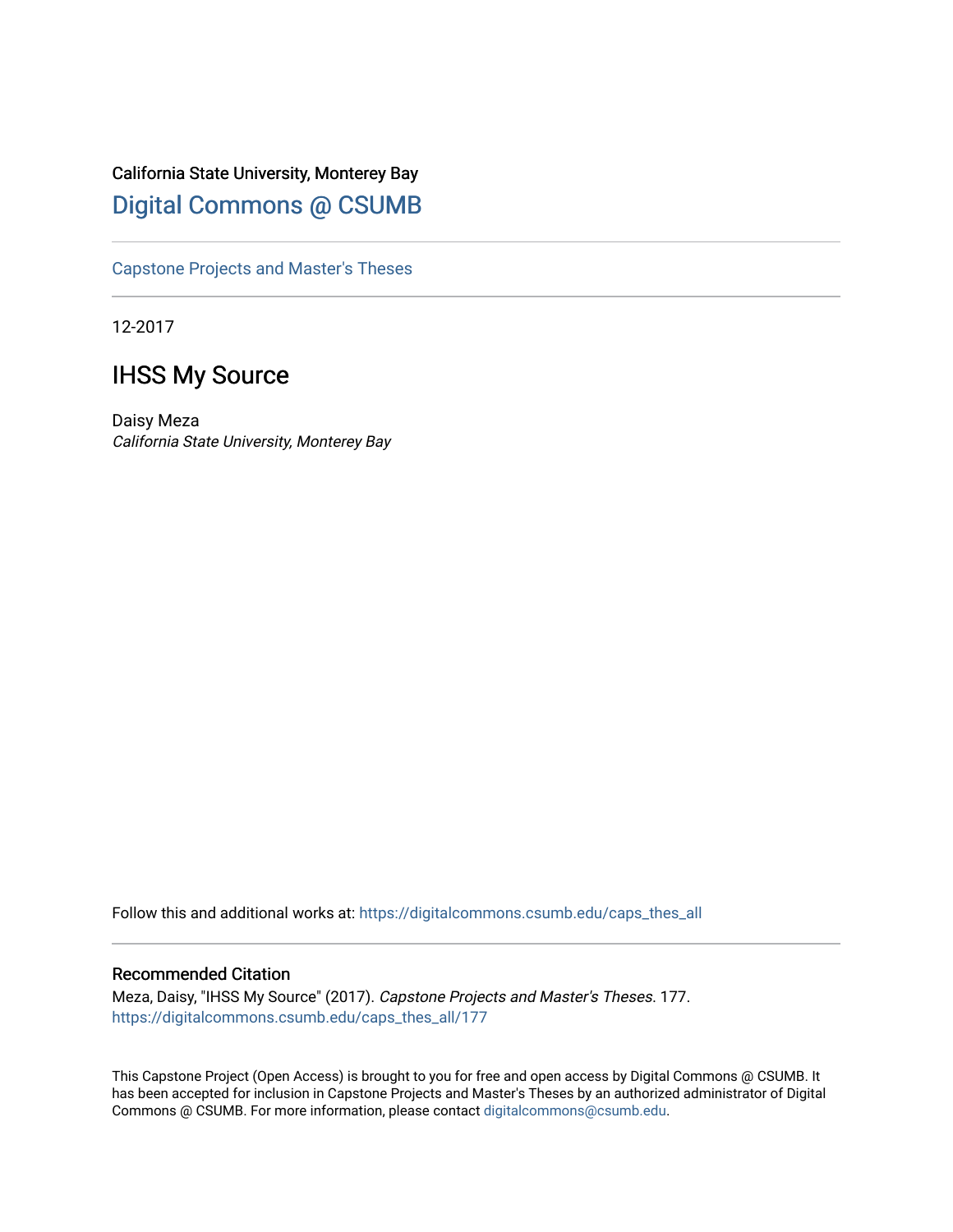# California State University, Monterey Bay [Digital Commons @ CSUMB](https://digitalcommons.csumb.edu/)

[Capstone Projects and Master's Theses](https://digitalcommons.csumb.edu/caps_thes_all)

12-2017

# IHSS My Source

Daisy Meza California State University, Monterey Bay

Follow this and additional works at: [https://digitalcommons.csumb.edu/caps\\_thes\\_all](https://digitalcommons.csumb.edu/caps_thes_all?utm_source=digitalcommons.csumb.edu%2Fcaps_thes_all%2F177&utm_medium=PDF&utm_campaign=PDFCoverPages)

#### Recommended Citation

Meza, Daisy, "IHSS My Source" (2017). Capstone Projects and Master's Theses. 177. [https://digitalcommons.csumb.edu/caps\\_thes\\_all/177](https://digitalcommons.csumb.edu/caps_thes_all/177?utm_source=digitalcommons.csumb.edu%2Fcaps_thes_all%2F177&utm_medium=PDF&utm_campaign=PDFCoverPages) 

This Capstone Project (Open Access) is brought to you for free and open access by Digital Commons @ CSUMB. It has been accepted for inclusion in Capstone Projects and Master's Theses by an authorized administrator of Digital Commons @ CSUMB. For more information, please contact [digitalcommons@csumb.edu](mailto:digitalcommons@csumb.edu).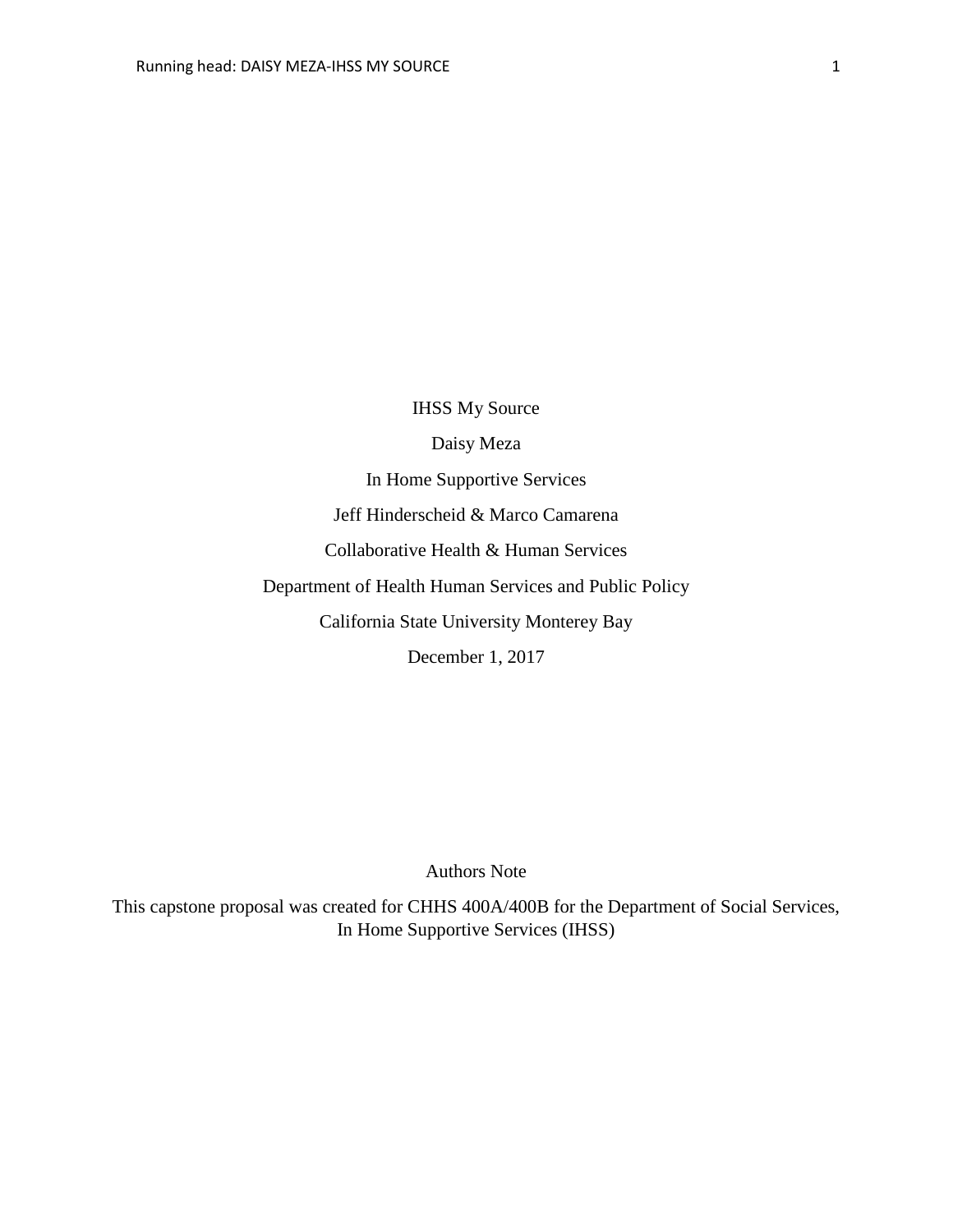IHSS My Source Daisy Meza In Home Supportive Services Jeff Hinderscheid & Marco Camarena Collaborative Health & Human Services Department of Health Human Services and Public Policy California State University Monterey Bay December 1, 2017

Authors Note

This capstone proposal was created for CHHS 400A/400B for the Department of Social Services, In Home Supportive Services (IHSS)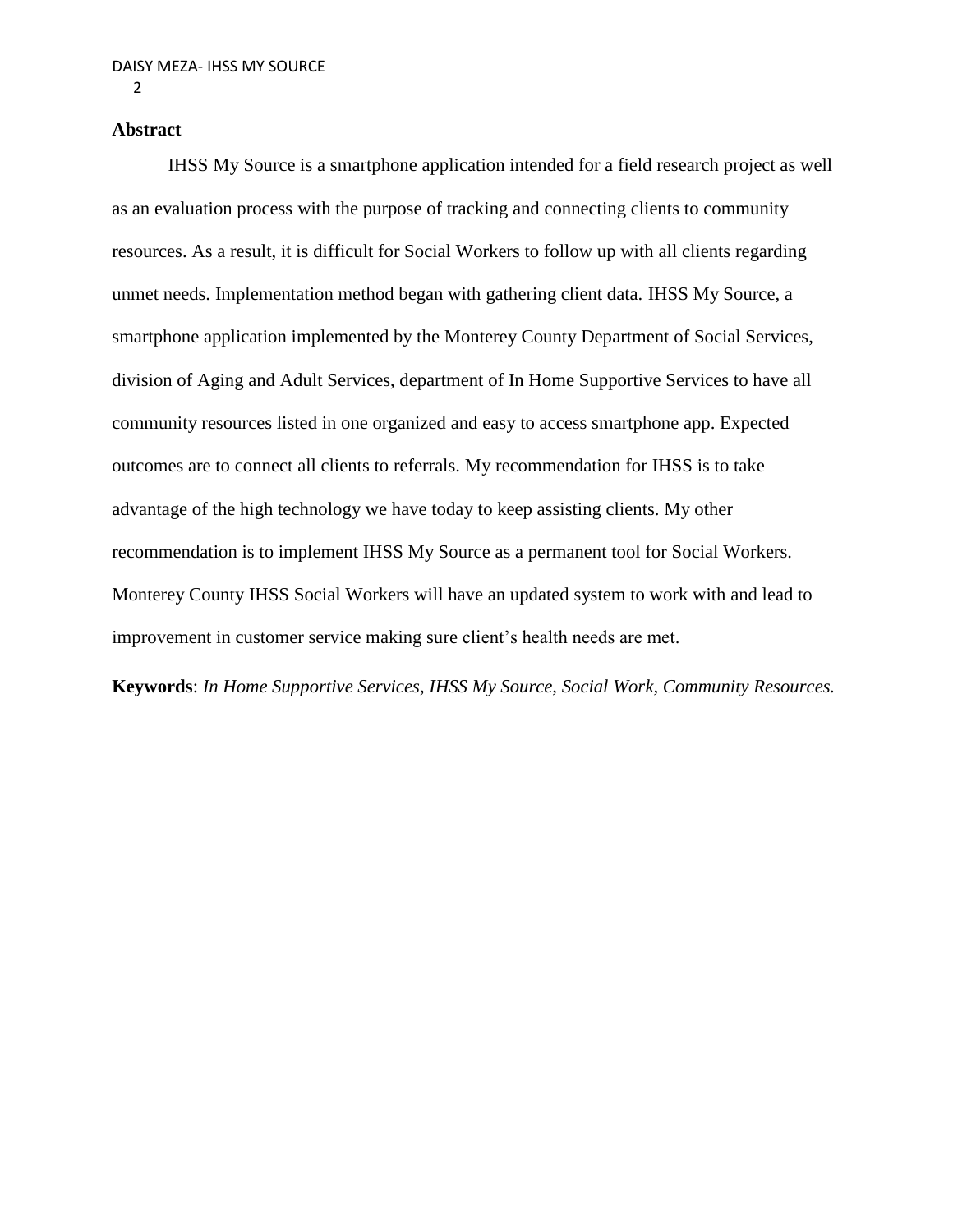# **Abstract**

IHSS My Source is a smartphone application intended for a field research project as well as an evaluation process with the purpose of tracking and connecting clients to community resources. As a result, it is difficult for Social Workers to follow up with all clients regarding unmet needs. Implementation method began with gathering client data. IHSS My Source, a smartphone application implemented by the Monterey County Department of Social Services, division of Aging and Adult Services, department of In Home Supportive Services to have all community resources listed in one organized and easy to access smartphone app. Expected outcomes are to connect all clients to referrals. My recommendation for IHSS is to take advantage of the high technology we have today to keep assisting clients. My other recommendation is to implement IHSS My Source as a permanent tool for Social Workers. Monterey County IHSS Social Workers will have an updated system to work with and lead to improvement in customer service making sure client's health needs are met.

**Keywords**: *In Home Supportive Services, IHSS My Source, Social Work, Community Resources.*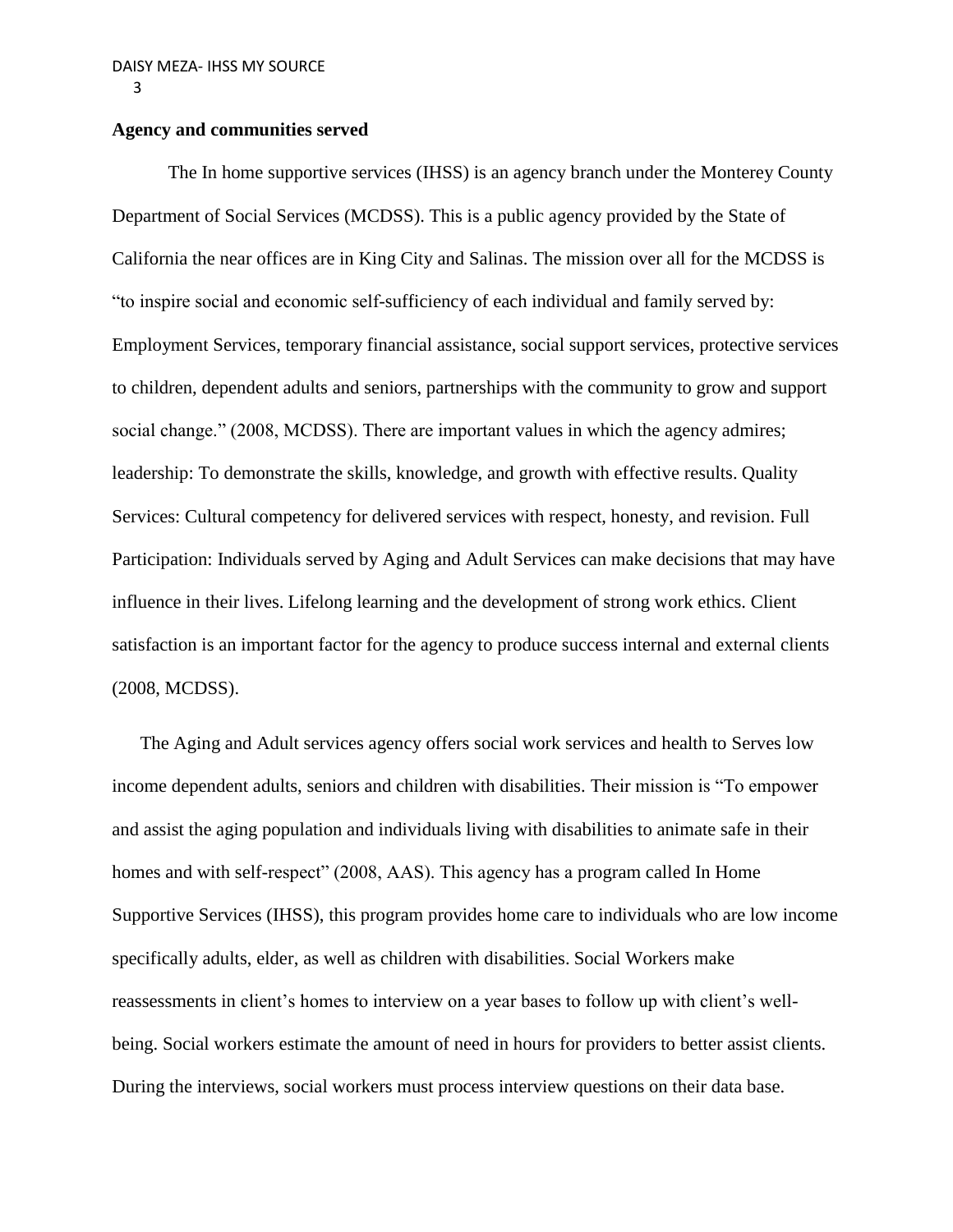# **Agency and communities served**

The In home supportive services (IHSS) is an agency branch under the Monterey County Department of Social Services (MCDSS). This is a public agency provided by the State of California the near offices are in King City and Salinas. The mission over all for the MCDSS is "to inspire social and economic self-sufficiency of each individual and family served by: Employment Services, temporary financial assistance, social support services, protective services to children, dependent adults and seniors, partnerships with the community to grow and support social change." (2008, MCDSS). There are important values in which the agency admires; leadership: To demonstrate the skills, knowledge, and growth with effective results. Quality Services: Cultural competency for delivered services with respect, honesty, and revision. Full Participation: Individuals served by Aging and Adult Services can make decisions that may have influence in their lives. Lifelong learning and the development of strong work ethics. Client satisfaction is an important factor for the agency to produce success internal and external clients (2008, MCDSS).

The Aging and Adult services agency offers social work services and health to Serves low income dependent adults, seniors and children with disabilities. Their mission is "To empower and assist the aging population and individuals living with disabilities to animate safe in their homes and with self-respect" (2008, AAS). This agency has a program called In Home Supportive Services (IHSS), this program provides home care to individuals who are low income specifically adults, elder, as well as children with disabilities. Social Workers make reassessments in client's homes to interview on a year bases to follow up with client's wellbeing. Social workers estimate the amount of need in hours for providers to better assist clients. During the interviews, social workers must process interview questions on their data base.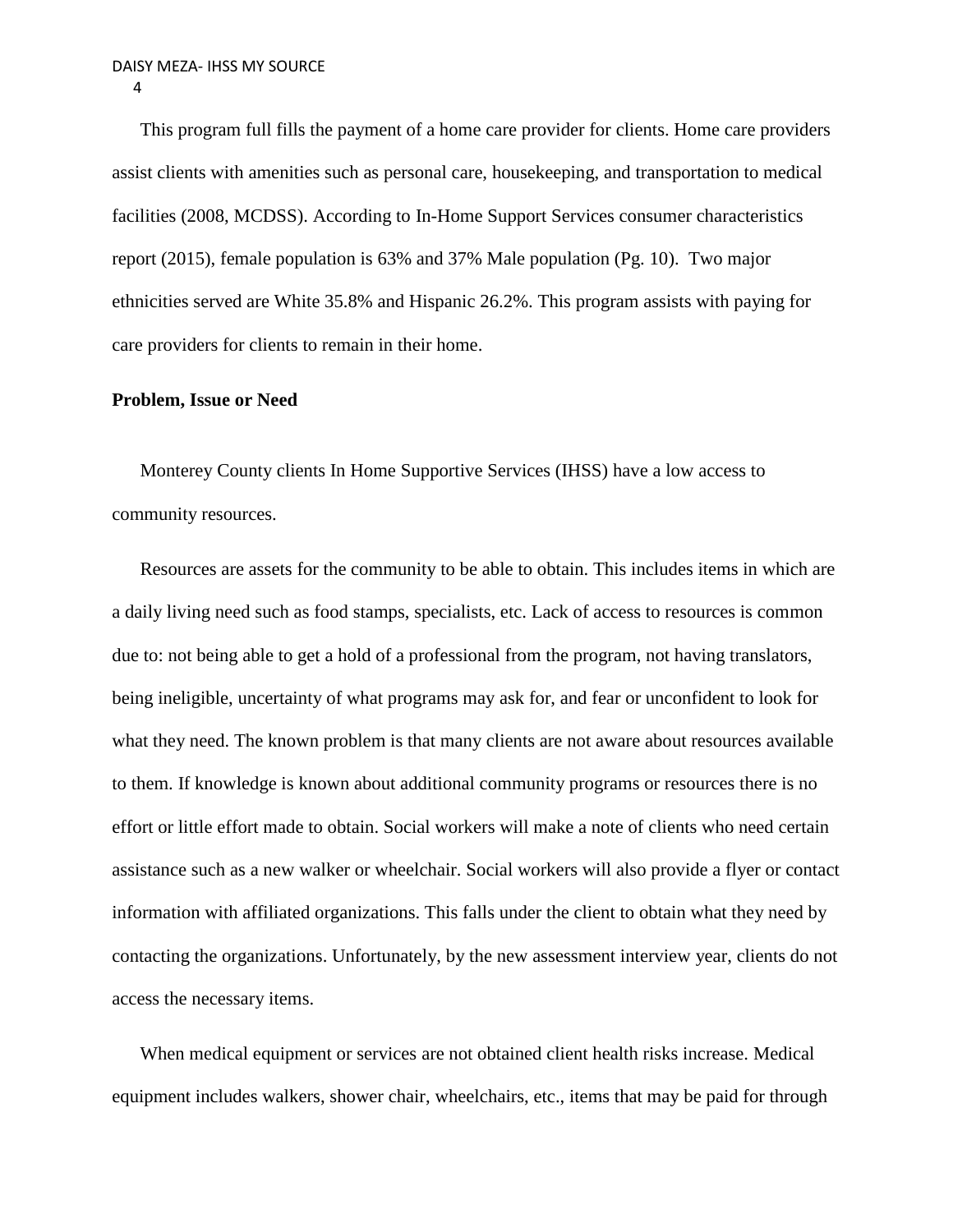This program full fills the payment of a home care provider for clients. Home care providers assist clients with amenities such as personal care, housekeeping, and transportation to medical facilities (2008, MCDSS). According to In-Home Support Services consumer characteristics report (2015), female population is 63% and 37% Male population (Pg. 10). Two major ethnicities served are White 35.8% and Hispanic 26.2%. This program assists with paying for care providers for clients to remain in their home.

#### **Problem, Issue or Need**

Monterey County clients In Home Supportive Services (IHSS) have a low access to community resources.

Resources are assets for the community to be able to obtain. This includes items in which are a daily living need such as food stamps, specialists, etc. Lack of access to resources is common due to: not being able to get a hold of a professional from the program, not having translators, being ineligible, uncertainty of what programs may ask for, and fear or unconfident to look for what they need. The known problem is that many clients are not aware about resources available to them. If knowledge is known about additional community programs or resources there is no effort or little effort made to obtain. Social workers will make a note of clients who need certain assistance such as a new walker or wheelchair. Social workers will also provide a flyer or contact information with affiliated organizations. This falls under the client to obtain what they need by contacting the organizations. Unfortunately, by the new assessment interview year, clients do not access the necessary items.

When medical equipment or services are not obtained client health risks increase. Medical equipment includes walkers, shower chair, wheelchairs, etc., items that may be paid for through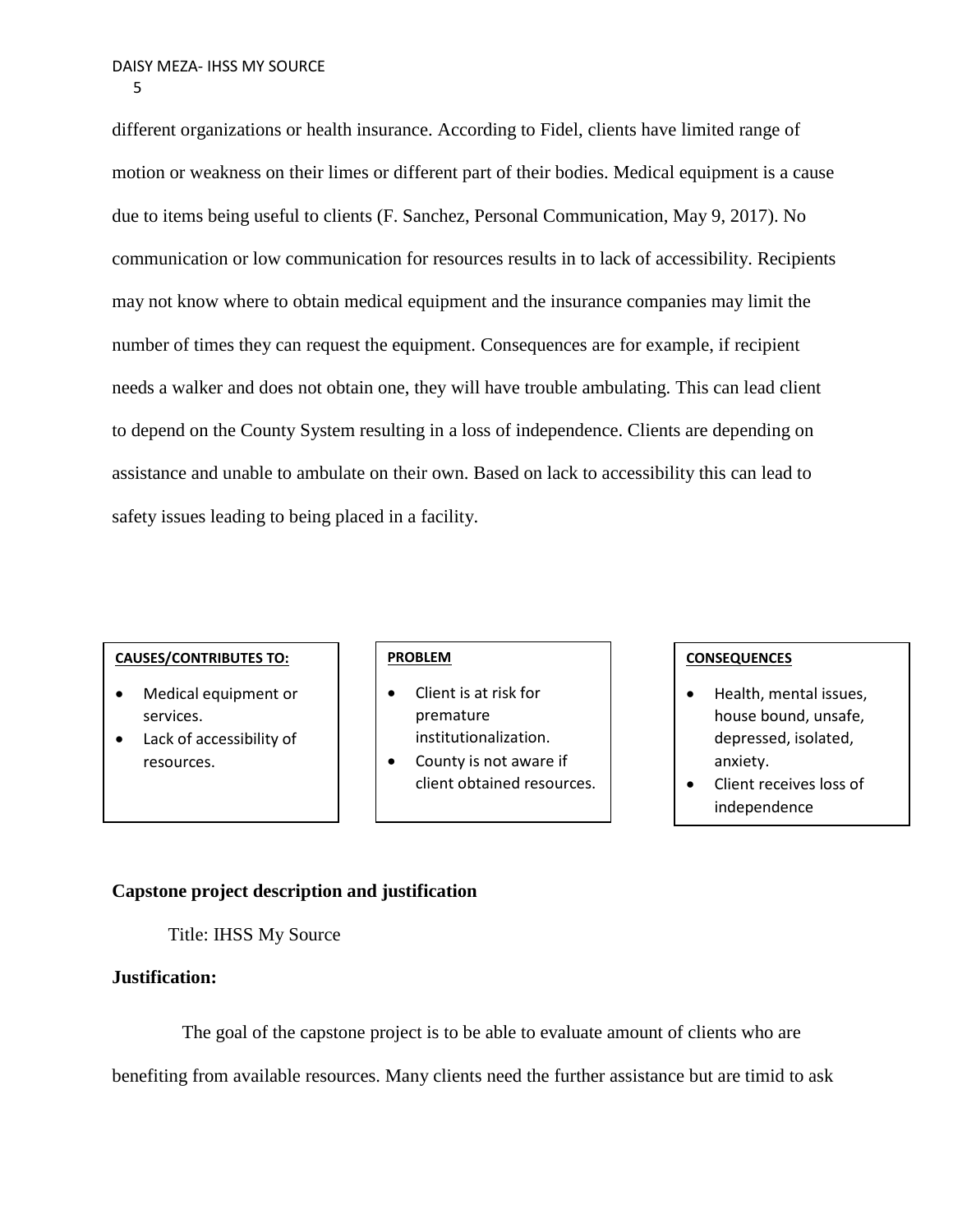different organizations or health insurance. According to Fidel, clients have limited range of motion or weakness on their limes or different part of their bodies. Medical equipment is a cause due to items being useful to clients (F. Sanchez, Personal Communication, May 9, 2017). No communication or low communication for resources results in to lack of accessibility. Recipients may not know where to obtain medical equipment and the insurance companies may limit the number of times they can request the equipment. Consequences are for example, if recipient needs a walker and does not obtain one, they will have trouble ambulating. This can lead client to depend on the County System resulting in a loss of independence. Clients are depending on assistance and unable to ambulate on their own. Based on lack to accessibility this can lead to safety issues leading to being placed in a facility.

#### **CAUSES/CONTRIBUTES TO:**

- Medical equipment or services.
- Lack of accessibility of resources.

#### **PROBLEM**

- Client is at risk for premature institutionalization.
- County is not aware if client obtained resources.

## **CONSEQUENCES**

- Health, mental issues, house bound, unsafe, depressed, isolated, anxiety.
- Client receives loss of independence

# **Capstone project description and justification**

Title: IHSS My Source

# **Justification:**

 The goal of the capstone project is to be able to evaluate amount of clients who are benefiting from available resources. Many clients need the further assistance but are timid to ask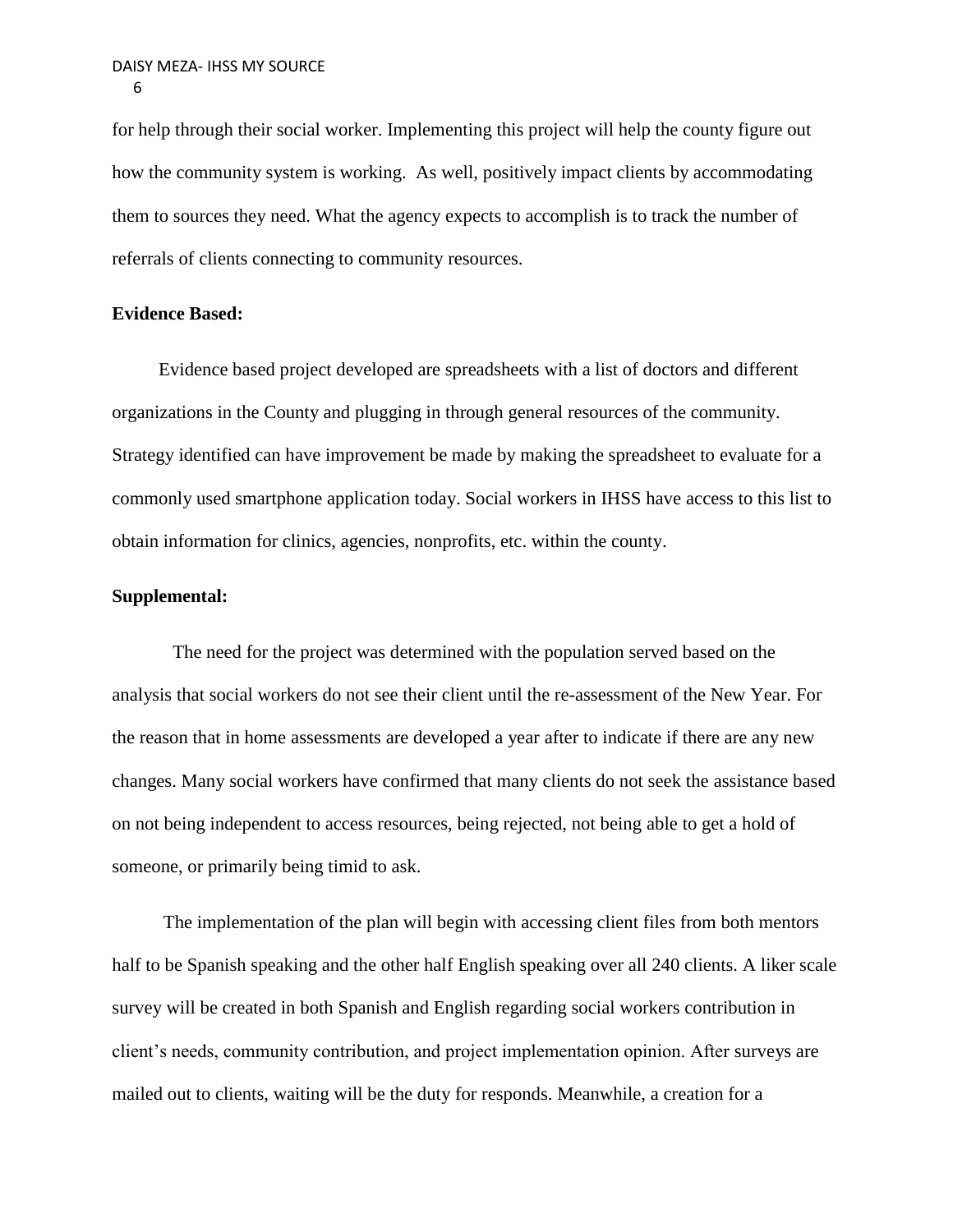for help through their social worker. Implementing this project will help the county figure out how the community system is working. As well, positively impact clients by accommodating them to sources they need. What the agency expects to accomplish is to track the number of referrals of clients connecting to community resources.

#### **Evidence Based:**

 Evidence based project developed are spreadsheets with a list of doctors and different organizations in the County and plugging in through general resources of the community. Strategy identified can have improvement be made by making the spreadsheet to evaluate for a commonly used smartphone application today. Social workers in IHSS have access to this list to obtain information for clinics, agencies, nonprofits, etc. within the county.

## **Supplemental:**

 The need for the project was determined with the population served based on the analysis that social workers do not see their client until the re-assessment of the New Year. For the reason that in home assessments are developed a year after to indicate if there are any new changes. Many social workers have confirmed that many clients do not seek the assistance based on not being independent to access resources, being rejected, not being able to get a hold of someone, or primarily being timid to ask.

 The implementation of the plan will begin with accessing client files from both mentors half to be Spanish speaking and the other half English speaking over all 240 clients. A liker scale survey will be created in both Spanish and English regarding social workers contribution in client's needs, community contribution, and project implementation opinion. After surveys are mailed out to clients, waiting will be the duty for responds. Meanwhile, a creation for a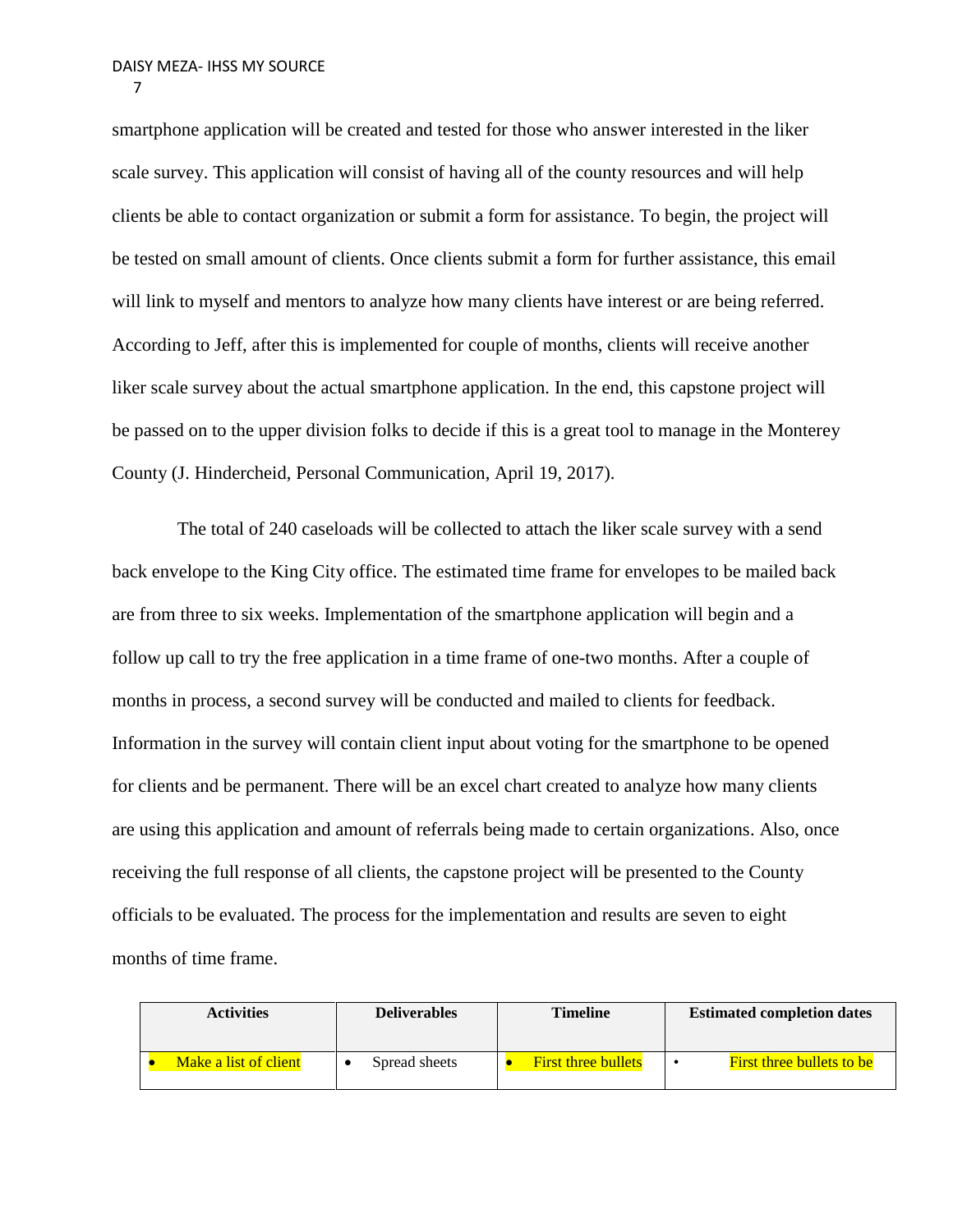smartphone application will be created and tested for those who answer interested in the liker scale survey. This application will consist of having all of the county resources and will help clients be able to contact organization or submit a form for assistance. To begin, the project will be tested on small amount of clients. Once clients submit a form for further assistance, this email will link to myself and mentors to analyze how many clients have interest or are being referred. According to Jeff, after this is implemented for couple of months, clients will receive another liker scale survey about the actual smartphone application. In the end, this capstone project will be passed on to the upper division folks to decide if this is a great tool to manage in the Monterey County (J. Hindercheid, Personal Communication, April 19, 2017).

 The total of 240 caseloads will be collected to attach the liker scale survey with a send back envelope to the King City office. The estimated time frame for envelopes to be mailed back are from three to six weeks. Implementation of the smartphone application will begin and a follow up call to try the free application in a time frame of one-two months. After a couple of months in process, a second survey will be conducted and mailed to clients for feedback. Information in the survey will contain client input about voting for the smartphone to be opened for clients and be permanent. There will be an excel chart created to analyze how many clients are using this application and amount of referrals being made to certain organizations. Also, once receiving the full response of all clients, the capstone project will be presented to the County officials to be evaluated. The process for the implementation and results are seven to eight months of time frame.

| <b>Activities</b> |                       | <b>Deliverables</b> | <b>Timeline</b>            | <b>Estimated completion dates</b> |  |  |
|-------------------|-----------------------|---------------------|----------------------------|-----------------------------------|--|--|
|                   | Make a list of client | Spread sheets       | <b>First three bullets</b> | <b>First three bullets to be</b>  |  |  |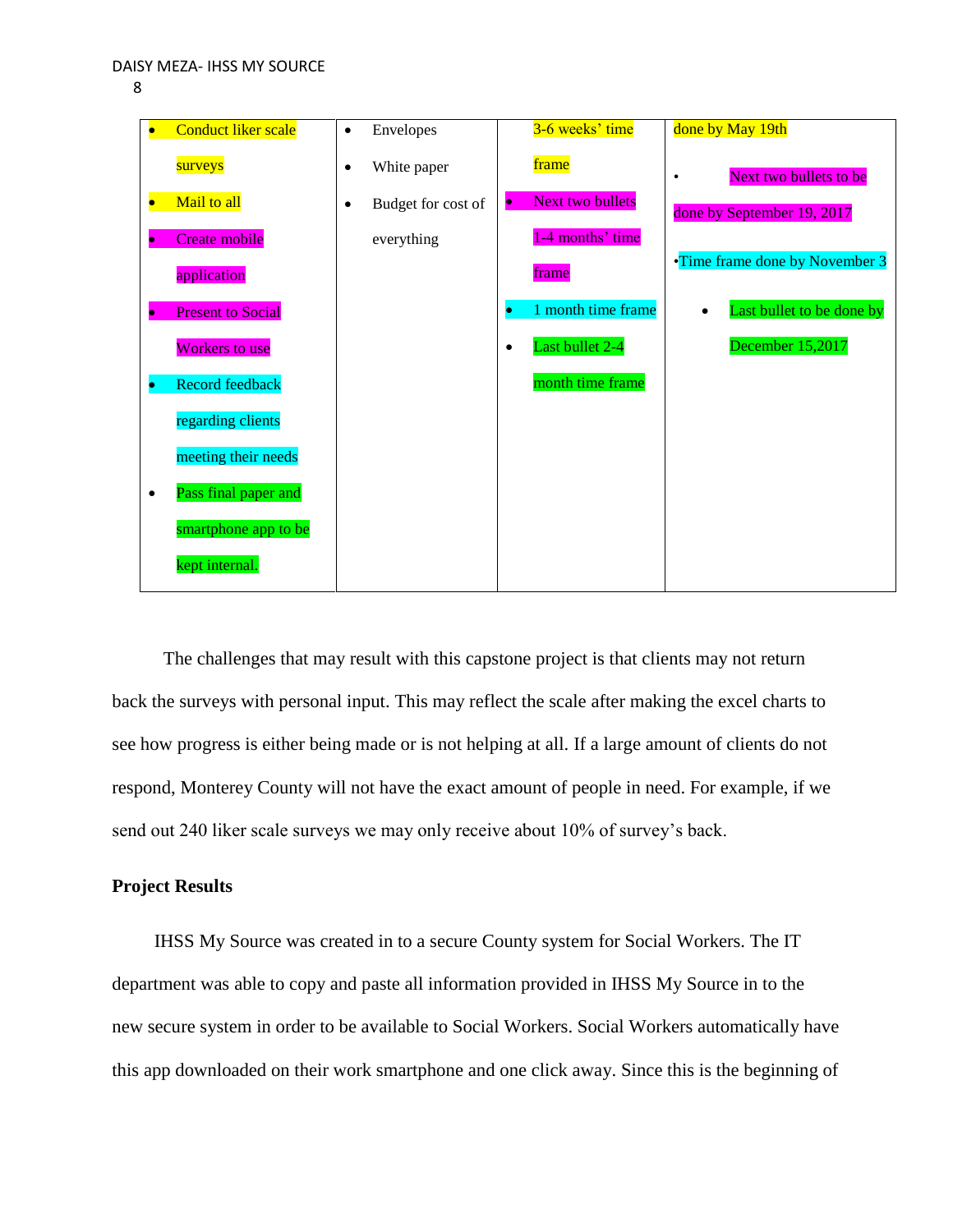

| <b>Conduct liker scale</b>            | Envelopes<br>$\bullet$          | 3-6 weeks' time                      | done by May 19th                       |
|---------------------------------------|---------------------------------|--------------------------------------|----------------------------------------|
| surveys                               | White paper<br>٠                | frame                                | Next two bullets to be<br>$\bullet$    |
| Mail to all                           | Budget for cost of<br>$\bullet$ | <b>Next two bullets</b><br>$\bullet$ | done by September 19, 2017             |
| Create mobile<br>۰                    | everything                      | 1-4 months' time                     |                                        |
| application                           |                                 | frame                                | •Time frame done by November 3         |
| <b>Present to Social</b><br>$\bullet$ |                                 | 1 month time frame<br>$\bullet$      | Last bullet to be done by<br>$\bullet$ |
| <b>Workers to use</b>                 |                                 | Last bullet 2-4<br>$\bullet$         | December 15,2017                       |
| <b>Record feedback</b><br>$\bullet$   |                                 | month time frame                     |                                        |
| regarding clients                     |                                 |                                      |                                        |
| meeting their needs                   |                                 |                                      |                                        |
| Pass final paper and<br>$\bullet$     |                                 |                                      |                                        |
| smartphone app to be                  |                                 |                                      |                                        |
| kept internal.                        |                                 |                                      |                                        |

 The challenges that may result with this capstone project is that clients may not return back the surveys with personal input. This may reflect the scale after making the excel charts to see how progress is either being made or is not helping at all. If a large amount of clients do not respond, Monterey County will not have the exact amount of people in need. For example, if we send out 240 liker scale surveys we may only receive about 10% of survey's back.

# **Project Results**

 IHSS My Source was created in to a secure County system for Social Workers. The IT department was able to copy and paste all information provided in IHSS My Source in to the new secure system in order to be available to Social Workers. Social Workers automatically have this app downloaded on their work smartphone and one click away. Since this is the beginning of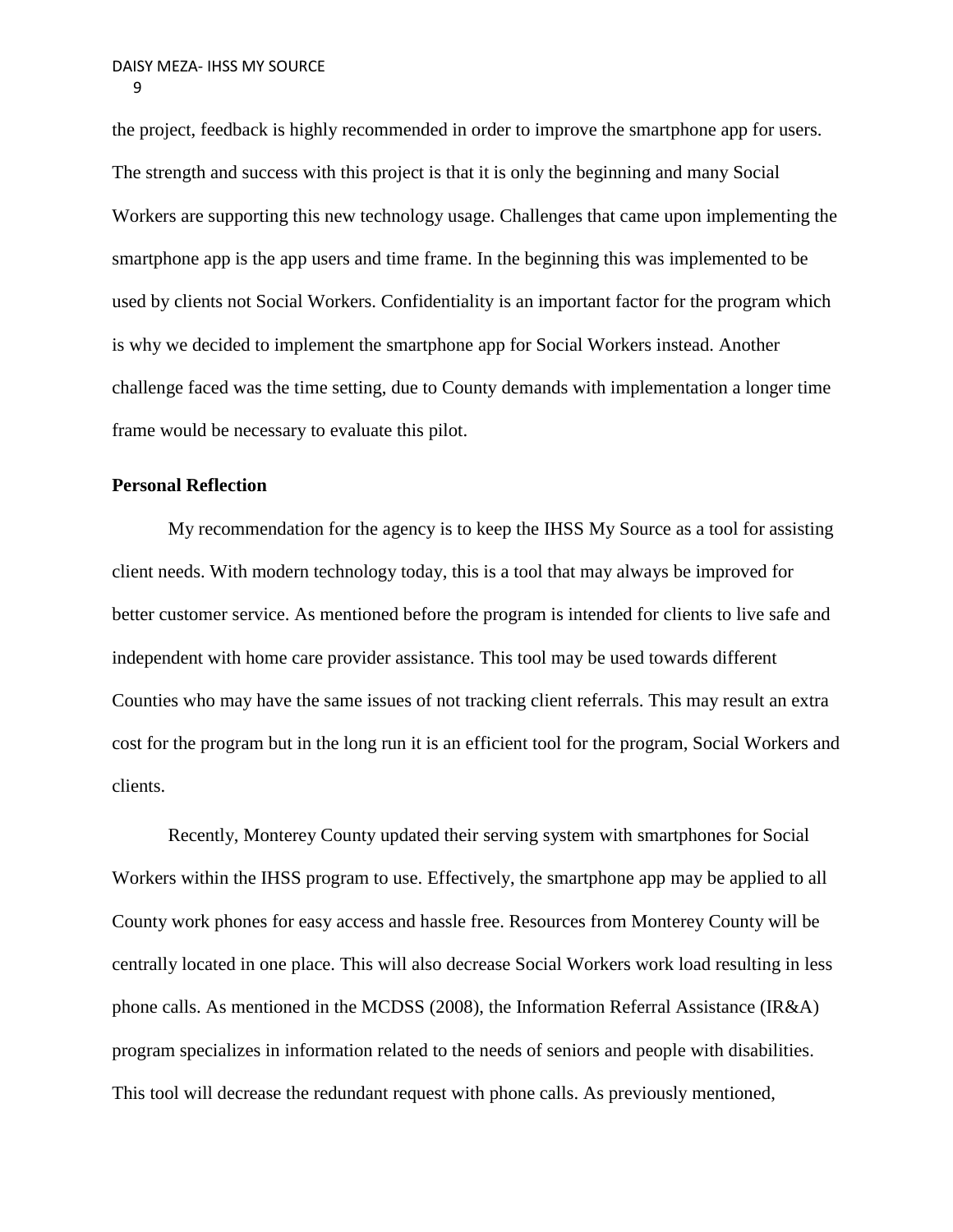the project, feedback is highly recommended in order to improve the smartphone app for users. The strength and success with this project is that it is only the beginning and many Social Workers are supporting this new technology usage. Challenges that came upon implementing the smartphone app is the app users and time frame. In the beginning this was implemented to be used by clients not Social Workers. Confidentiality is an important factor for the program which is why we decided to implement the smartphone app for Social Workers instead. Another challenge faced was the time setting, due to County demands with implementation a longer time frame would be necessary to evaluate this pilot.

#### **Personal Reflection**

My recommendation for the agency is to keep the IHSS My Source as a tool for assisting client needs. With modern technology today, this is a tool that may always be improved for better customer service. As mentioned before the program is intended for clients to live safe and independent with home care provider assistance. This tool may be used towards different Counties who may have the same issues of not tracking client referrals. This may result an extra cost for the program but in the long run it is an efficient tool for the program, Social Workers and clients.

Recently, Monterey County updated their serving system with smartphones for Social Workers within the IHSS program to use. Effectively, the smartphone app may be applied to all County work phones for easy access and hassle free. Resources from Monterey County will be centrally located in one place. This will also decrease Social Workers work load resulting in less phone calls. As mentioned in the MCDSS (2008), the Information Referral Assistance (IR&A) program specializes in information related to the needs of seniors and people with disabilities. This tool will decrease the redundant request with phone calls. As previously mentioned,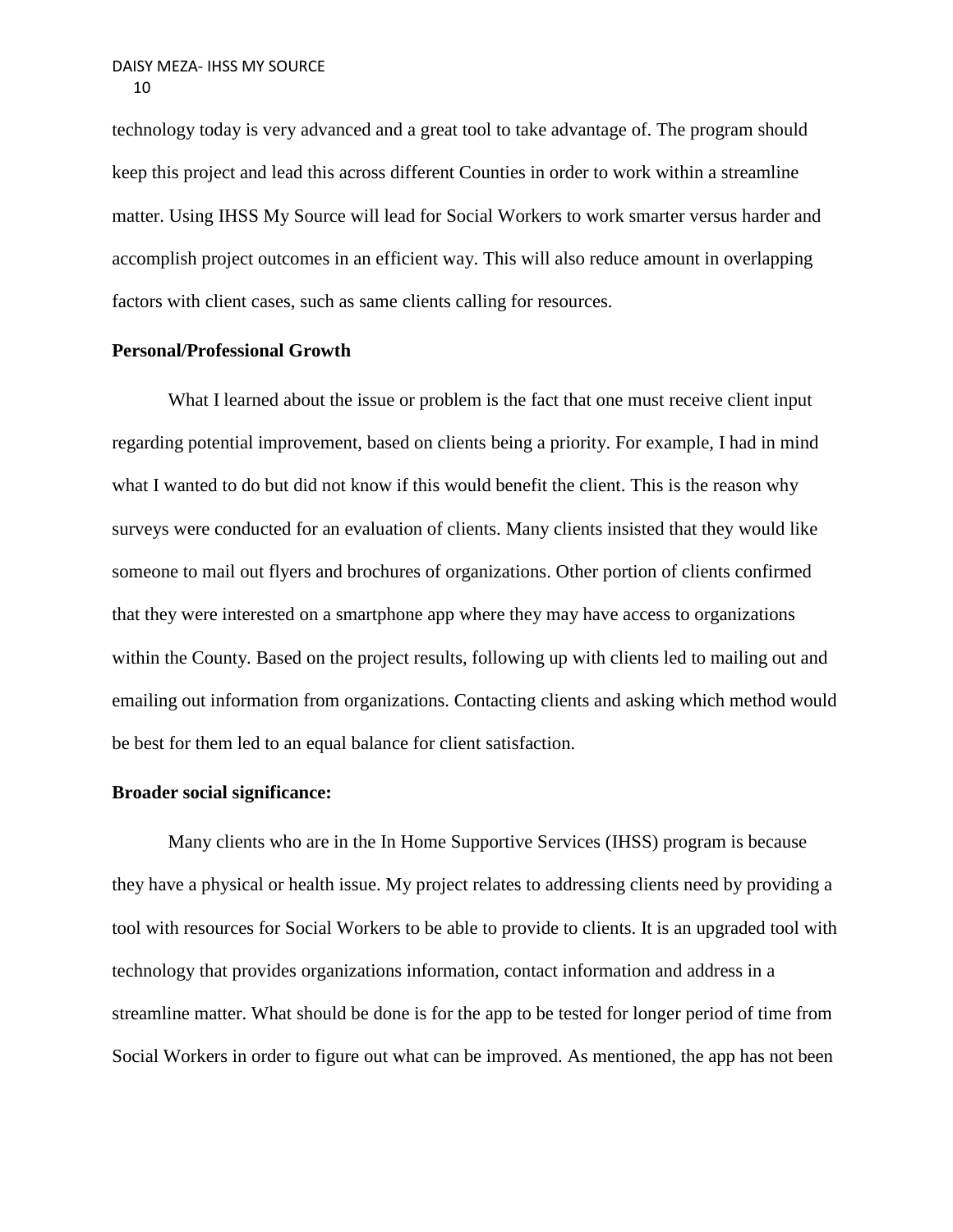technology today is very advanced and a great tool to take advantage of. The program should keep this project and lead this across different Counties in order to work within a streamline matter. Using IHSS My Source will lead for Social Workers to work smarter versus harder and accomplish project outcomes in an efficient way. This will also reduce amount in overlapping factors with client cases, such as same clients calling for resources.

## **Personal/Professional Growth**

What I learned about the issue or problem is the fact that one must receive client input regarding potential improvement, based on clients being a priority. For example, I had in mind what I wanted to do but did not know if this would benefit the client. This is the reason why surveys were conducted for an evaluation of clients. Many clients insisted that they would like someone to mail out flyers and brochures of organizations. Other portion of clients confirmed that they were interested on a smartphone app where they may have access to organizations within the County. Based on the project results, following up with clients led to mailing out and emailing out information from organizations. Contacting clients and asking which method would be best for them led to an equal balance for client satisfaction.

#### **Broader social significance:**

Many clients who are in the In Home Supportive Services (IHSS) program is because they have a physical or health issue. My project relates to addressing clients need by providing a tool with resources for Social Workers to be able to provide to clients. It is an upgraded tool with technology that provides organizations information, contact information and address in a streamline matter. What should be done is for the app to be tested for longer period of time from Social Workers in order to figure out what can be improved. As mentioned, the app has not been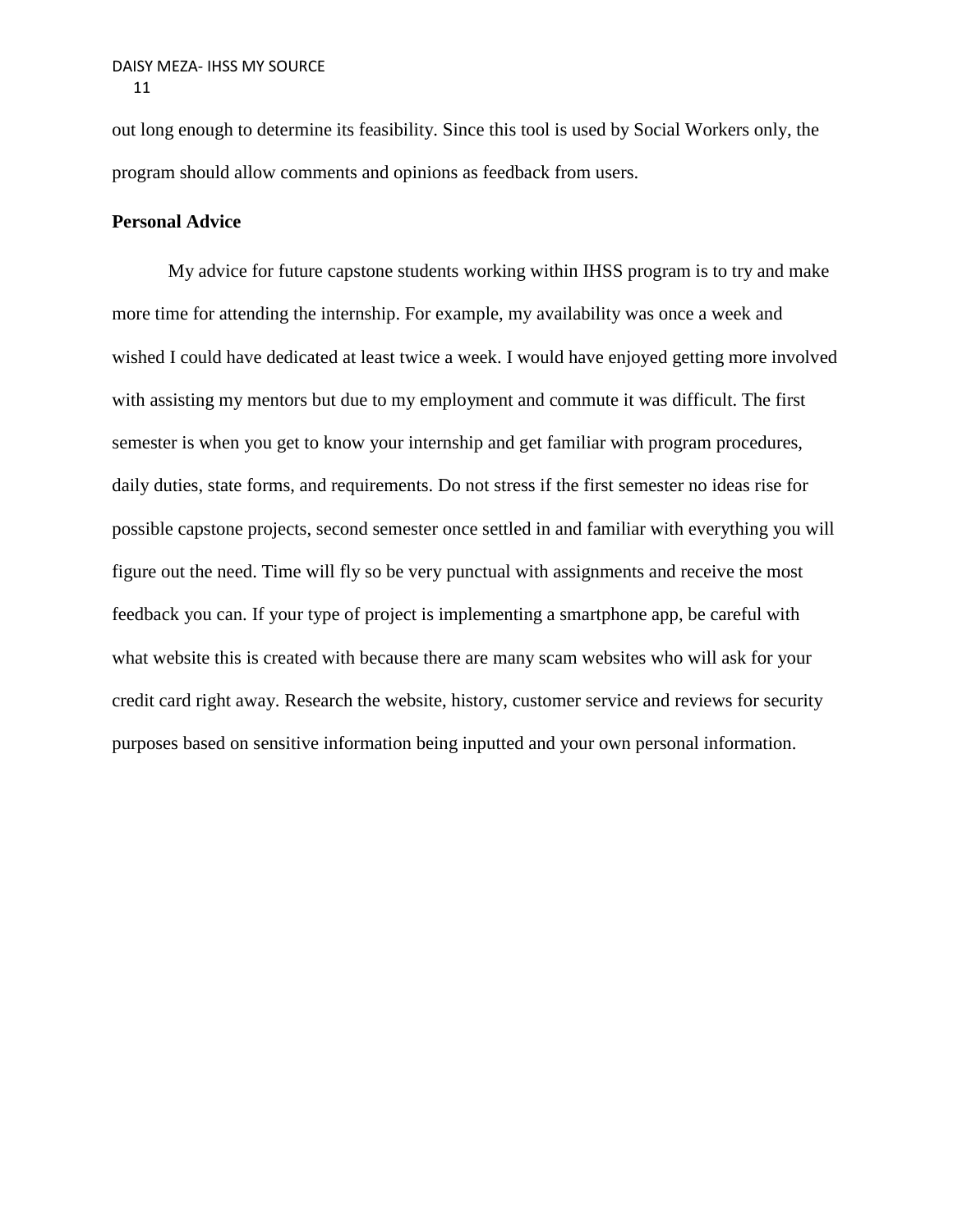out long enough to determine its feasibility. Since this tool is used by Social Workers only, the program should allow comments and opinions as feedback from users.

# **Personal Advice**

My advice for future capstone students working within IHSS program is to try and make more time for attending the internship. For example, my availability was once a week and wished I could have dedicated at least twice a week. I would have enjoyed getting more involved with assisting my mentors but due to my employment and commute it was difficult. The first semester is when you get to know your internship and get familiar with program procedures, daily duties, state forms, and requirements. Do not stress if the first semester no ideas rise for possible capstone projects, second semester once settled in and familiar with everything you will figure out the need. Time will fly so be very punctual with assignments and receive the most feedback you can. If your type of project is implementing a smartphone app, be careful with what website this is created with because there are many scam websites who will ask for your credit card right away. Research the website, history, customer service and reviews for security purposes based on sensitive information being inputted and your own personal information.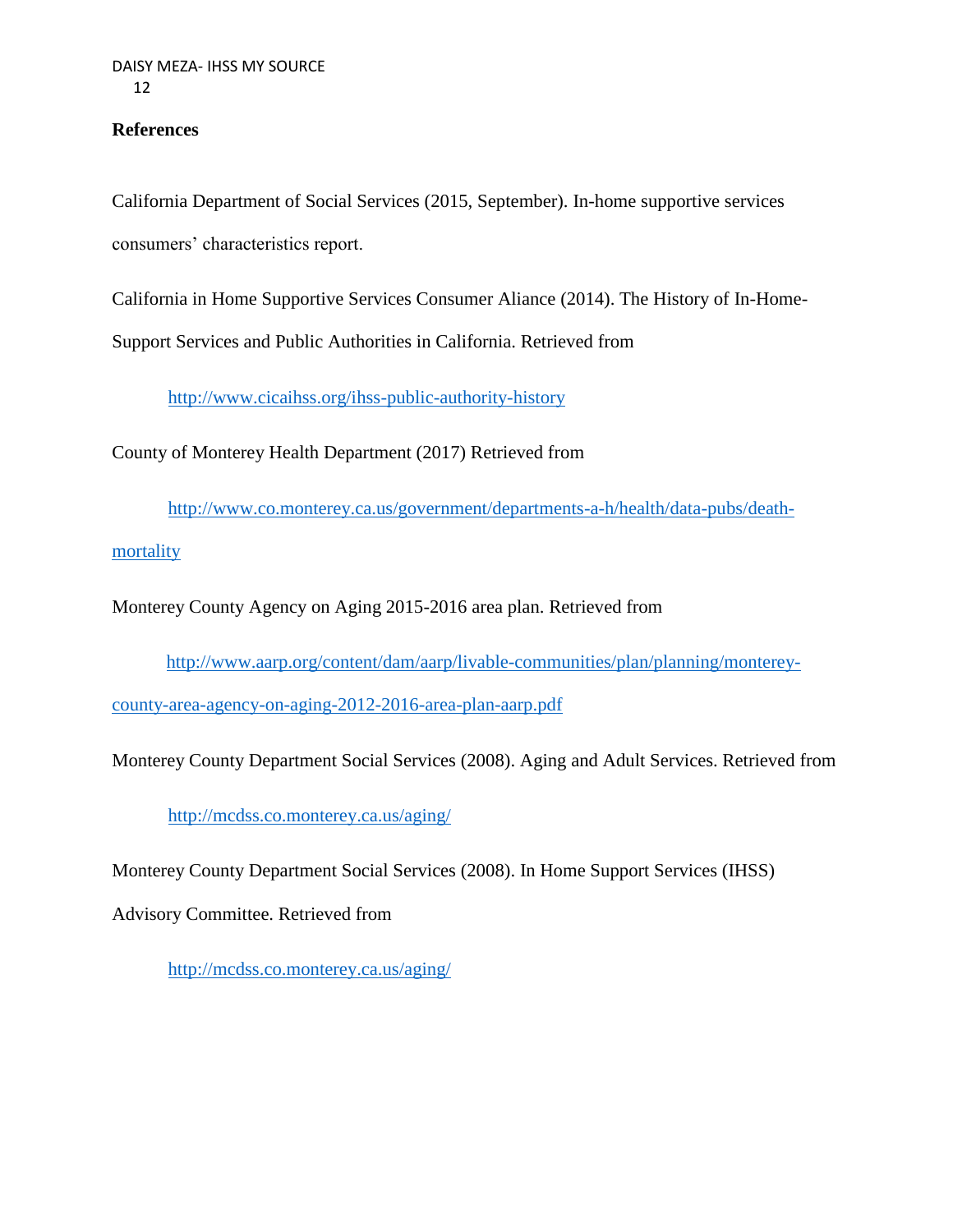# **References**

California Department of Social Services (2015, September). In-home supportive services consumers' characteristics report.

California in Home Supportive Services Consumer Aliance (2014). The History of In-Home-

Support Services and Public Authorities in California. Retrieved from

<http://www.cicaihss.org/ihss-public-authority-history>

County of Monterey Health Department (2017) Retrieved from

[http://www.co.monterey.ca.us/government/departments-a-h/health/data-pubs/death-](http://www.co.monterey.ca.us/government/departments-a-h/health/data-pubs/death-mortality)

[mortality](http://www.co.monterey.ca.us/government/departments-a-h/health/data-pubs/death-mortality)

Monterey County Agency on Aging 2015-2016 area plan. Retrieved from

[http://www.aarp.org/content/dam/aarp/livable-communities/plan/planning/monterey-](http://www.aarp.org/content/dam/aarp/livable-communities/plan/planning/monterey-county-area-agency-on-aging-2012-2016-area-plan-aarp.pdf)

[county-area-agency-on-aging-2012-2016-area-plan-aarp.pdf](http://www.aarp.org/content/dam/aarp/livable-communities/plan/planning/monterey-county-area-agency-on-aging-2012-2016-area-plan-aarp.pdf)

Monterey County Department Social Services (2008). Aging and Adult Services. Retrieved from

<http://mcdss.co.monterey.ca.us/aging/>

Monterey County Department Social Services (2008). In Home Support Services (IHSS)

Advisory Committee. Retrieved from

http://mcdss.co.monterey.ca.us/aging/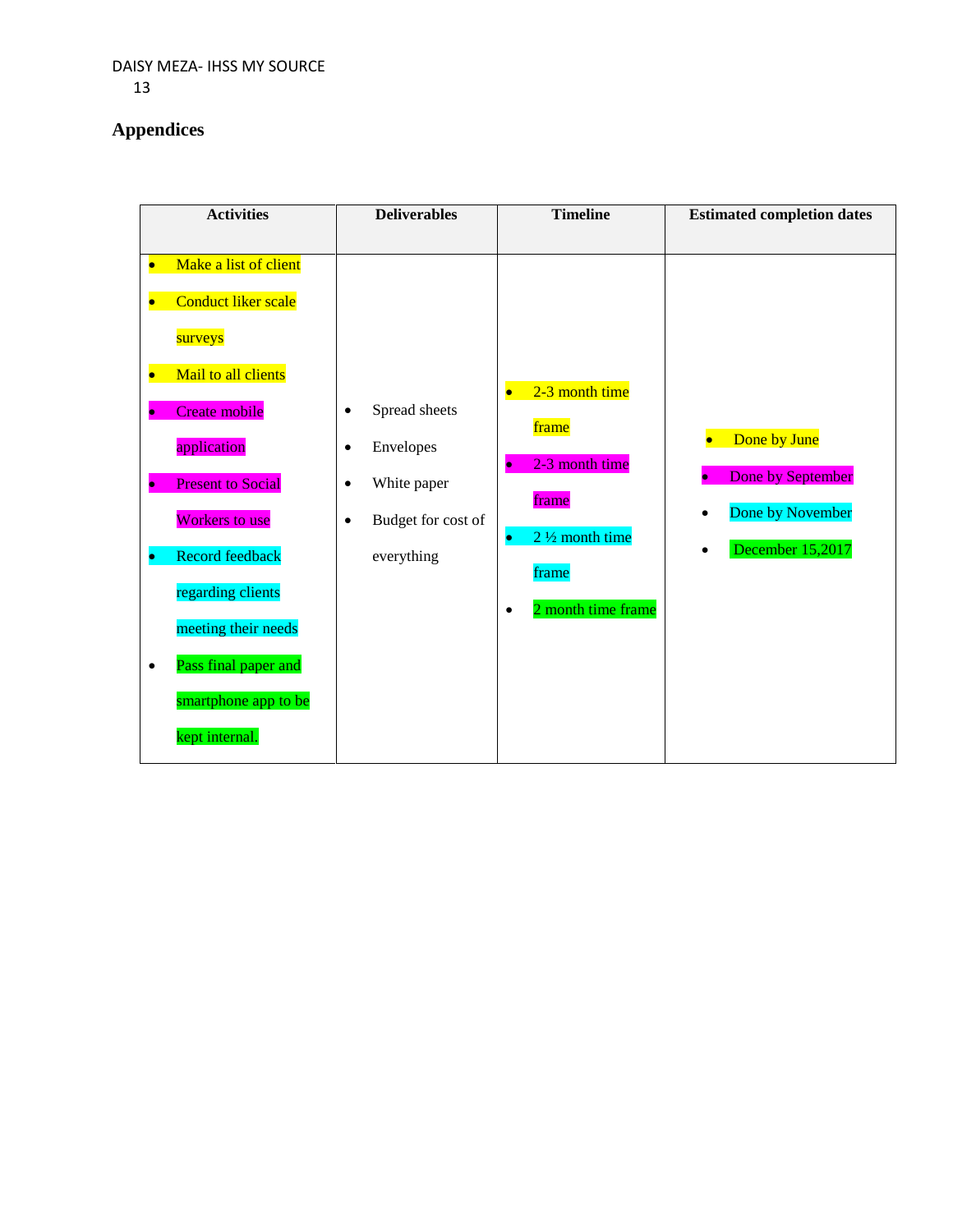# **Appendices**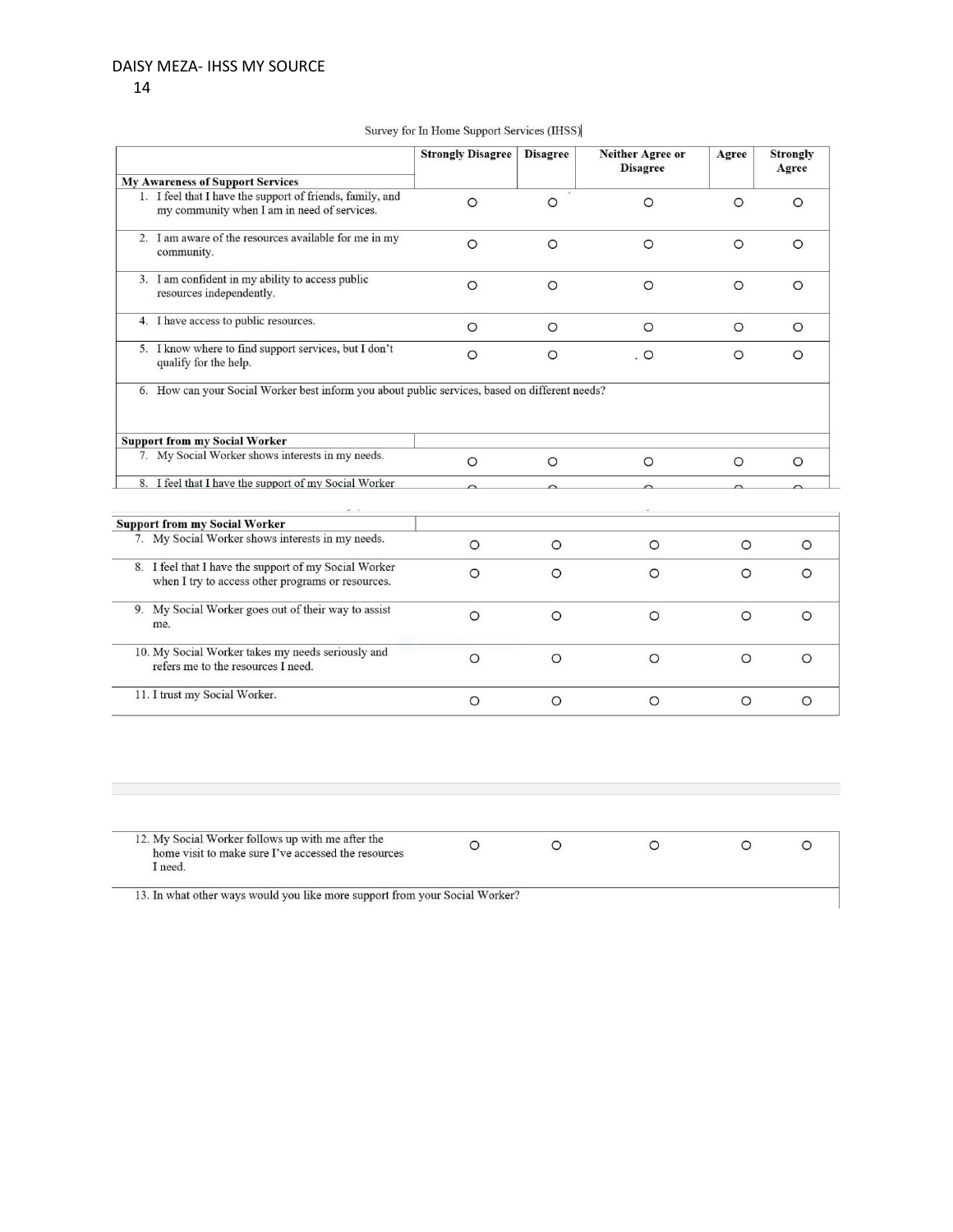#### 14

|  |  | Survey for In Home Support Services (IHSS) |  |
|--|--|--------------------------------------------|--|
|  |  |                                            |  |

|                                                                                                            | <b>Strongly Disagree</b> | <b>Disagree</b> | Neither Agree or<br><b>Disagree</b> | Agree    | <b>Strongly</b><br>Agree |
|------------------------------------------------------------------------------------------------------------|--------------------------|-----------------|-------------------------------------|----------|--------------------------|
| <b>My Awareness of Support Services</b>                                                                    |                          |                 |                                     |          |                          |
| 1. I feel that I have the support of friends, family, and<br>my community when I am in need of services.   | $\circ$                  | $\circ$         | $\circ$                             | $\circ$  | $\circ$                  |
| 2. I am aware of the resources available for me in my<br>community.                                        | $\circ$                  | $\circ$         | $\circ$                             | $\Omega$ | $\circ$                  |
| 3. I am confident in my ability to access public<br>resources independently.                               | $\circ$                  | $\circ$         | $\circ$                             | $\circ$  | $\circ$                  |
| 4. I have access to public resources.                                                                      | $\circ$                  | $\circ$         | $\circ$                             | $\circ$  | $\circ$                  |
| 5. I know where to find support services, but I don't<br>qualify for the help.                             | $\circ$                  | $\circ$         | $\circ$                             | $\circ$  | $\circ$                  |
| <b>Support from my Social Worker</b>                                                                       |                          |                 |                                     |          |                          |
| 7. My Social Worker shows interests in my needs.                                                           | $\circ$                  | $\circ$         | $\circ$                             | $\circ$  | $\circ$                  |
| 8. I feel that I have the support of my Social Worker                                                      | $\sim$                   |                 |                                     |          |                          |
|                                                                                                            |                          | $\sim$          |                                     |          |                          |
|                                                                                                            |                          |                 |                                     |          |                          |
| <b>Support from my Social Worker</b>                                                                       |                          |                 |                                     |          |                          |
| 7. My Social Worker shows interests in my needs.                                                           | $\circ$                  | $\circ$         | $\circ$                             | $\circ$  | $\circ$                  |
| 8. I feel that I have the support of my Social Worker<br>when I try to access other programs or resources. | $\circ$                  | $\circ$         | $\circ$                             | $\circ$  | $\circ$                  |
| 9. My Social Worker goes out of their way to assist<br>me.                                                 | $\circ$                  | $\circ$         | $\circ$                             | $\circ$  | $\circ$                  |
| 10. My Social Worker takes my needs seriously and<br>refers me to the resources I need.                    | $\circ$                  | $\circ$         | $\circ$                             | $\circ$  | $\circ$                  |

| 12. My Social Worker follows up with me after the   |  |  |  |
|-----------------------------------------------------|--|--|--|
| home visit to make sure I've accessed the resources |  |  |  |
| I need.                                             |  |  |  |

13. In what other ways would you like more support from your Social Worker?